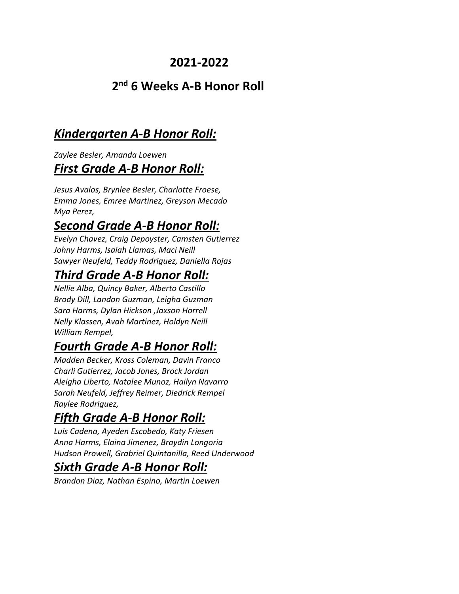#### **2021-2022**

#### **2nd 6 Weeks A-B Honor Roll**

### *Kindergarten A-B Honor Roll:*

*Zaylee Besler, Amanda Loewen First Grade A-B Honor Roll:*

*Jesus Avalos, Brynlee Besler, Charlotte Froese, Emma Jones, Emree Martinez, Greyson Mecado Mya Perez,* 

## *Second Grade A-B Honor Roll:*

*Evelyn Chavez, Craig Depoyster, Camsten Gutierrez Johny Harms, Isaiah Llamas, Maci Neill Sawyer Neufeld, Teddy Rodriguez, Daniella Rojas*

# *Third Grade A-B Honor Roll:*

*Nellie Alba, Quincy Baker, Alberto Castillo Brody Dill, Landon Guzman, Leigha Guzman Sara Harms, Dylan Hickson ,Jaxson Horrell Nelly Klassen, Avah Martinez, Holdyn Neill William Rempel,* 

# *Fourth Grade A-B Honor Roll:*

*Madden Becker, Kross Coleman, Davin Franco Charli Gutierrez, Jacob Jones, Brock Jordan Aleigha Liberto, Natalee Munoz, Hailyn Navarro Sarah Neufeld, Jeffrey Reimer, Diedrick Rempel Raylee Rodriguez,* 

# *Fifth Grade A-B Honor Roll:*

*Luis Cadena, Ayeden Escobedo, Katy Friesen Anna Harms, Elaina Jimenez, Braydin Longoria Hudson Prowell, Grabriel Quintanilla, Reed Underwood*

### *Sixth Grade A-B Honor Roll:*

*Brandon Diaz, Nathan Espino, Martin Loewen*